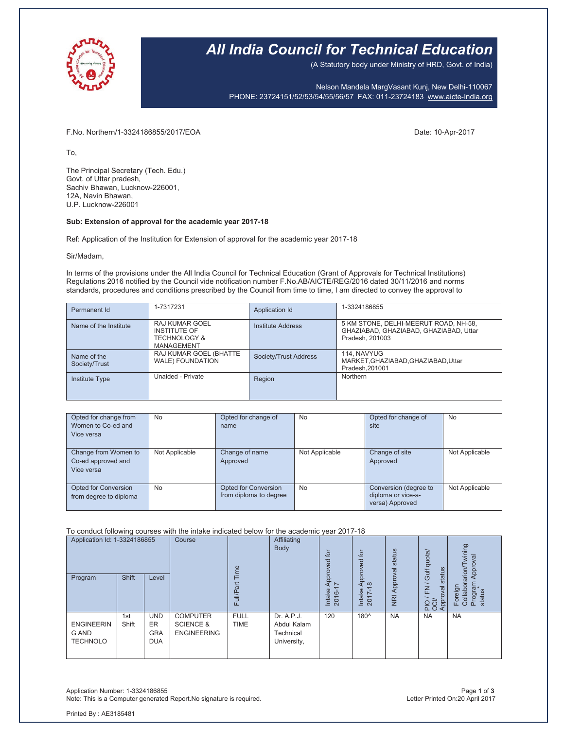

### *All India Council for Technical Education*

(A Statutory body under Ministry of HRD, Govt. of India)

Nelson Mandela MargVasant Kunj, New Delhi-110067 PHONE: 23724151/52/53/54/55/56/57 FAX: 011-23724183 www.aicte-India.org

F.No. Northern/1-3324186855/2017/EOA Date: 10-Apr-2017

To,

The Principal Secretary (Tech. Edu.) Govt. of Uttar pradesh, Sachiv Bhawan, Lucknow-226001, 12A, Navin Bhawan, U.P. Lucknow-226001

### **Sub: Extension of approval for the academic year 2017-18**

Ref: Application of the Institution for Extension of approval for the academic year 2017-18

#### Sir/Madam,

In terms of the provisions under the All India Council for Technical Education (Grant of Approvals for Technical Institutions) Regulations 2016 notified by the Council vide notification number F.No.AB/AICTE/REG/2016 dated 30/11/2016 and norms standards, procedures and conditions prescribed by the Council from time to time, I am directed to convey the approval to

| Permanent Id                 | 1-7317231                                                                             | Application Id        | 1-3324186855                                                                                       |
|------------------------------|---------------------------------------------------------------------------------------|-----------------------|----------------------------------------------------------------------------------------------------|
| Name of the Institute        | <b>RAJ KUMAR GOEL</b><br>INSTITUTE OF<br><b>TECHNOLOGY &amp;</b><br><b>MANAGEMENT</b> | Institute Address     | 5 KM STONE, DELHI-MEERUT ROAD, NH-58,<br>GHAZIABAD, GHAZIABAD, GHAZIABAD, Uttar<br>Pradesh, 201003 |
| Name of the<br>Society/Trust | RAJ KUMAR GOEL (BHATTE<br>WALE) FOUNDATION                                            | Society/Trust Address | 114. NAVYUG<br>MARKET, GHAZIABAD, GHAZIABAD, Uttar<br>Pradesh.201001                               |
| <b>Institute Type</b>        | Unaided - Private                                                                     | Region                | Northern                                                                                           |

| Opted for change from<br>Women to Co-ed and<br>Vice versa | <b>No</b>      | Opted for change of<br>name                           | <b>No</b>      | Opted for change of<br>site                                    | No             |
|-----------------------------------------------------------|----------------|-------------------------------------------------------|----------------|----------------------------------------------------------------|----------------|
| Change from Women to<br>Co-ed approved and<br>Vice versa  | Not Applicable | Change of name<br>Approved                            | Not Applicable | Change of site<br>Approved                                     | Not Applicable |
| <b>Opted for Conversion</b><br>from degree to diploma     | <b>No</b>      | <b>Opted for Conversion</b><br>from diploma to degree | <b>No</b>      | Conversion (degree to<br>diploma or vice-a-<br>versa) Approved | Not Applicable |

#### To conduct following courses with the intake indicated below for the academic year 2017-18

| Application Id: 1-3324186855                         |              | Course                                              | Time                                                          | Affiliating<br>Body        | for<br>ರ                                              | tor<br>ਠ                        | status                     | quota/                     | wining<br>Approval                                                                               |                                                    |
|------------------------------------------------------|--------------|-----------------------------------------------------|---------------------------------------------------------------|----------------------------|-------------------------------------------------------|---------------------------------|----------------------------|----------------------------|--------------------------------------------------------------------------------------------------|----------------------------------------------------|
| Program                                              | Shift        | Level                                               |                                                               | π<br>Full/P <sub>3</sub>   |                                                       | 윤<br>$\sim$<br>Intake<br>2016-1 | $\infty$<br>Intake<br>2017 | Approval<br>$\overline{R}$ | Gulf<br>stai<br>$\overline{E}$<br>pvo<br>$\frac{1}{2}$ $\frac{1}{2}$ $\frac{1}{2}$ $\frac{1}{2}$ | arion/<br>Collabor<br>Program<br>status<br>Foreign |
| <b>ENGINEERIN</b><br><b>G AND</b><br><b>TECHNOLO</b> | 1st<br>Shift | <b>UND</b><br><b>ER</b><br><b>GRA</b><br><b>DUA</b> | <b>COMPUTER</b><br><b>SCIENCE &amp;</b><br><b>ENGINEERING</b> | <b>FULL</b><br><b>TIME</b> | Dr. A.P.J.<br>Abdul Kalam<br>Technical<br>University, | 120                             | 180^                       | <b>NA</b>                  | <b>NA</b>                                                                                        | <b>NA</b>                                          |

Application Number: 1-3324186855 Page **1** of **3** Note: This is a Computer generated Report.No signature is required.

Printed By : AE3185481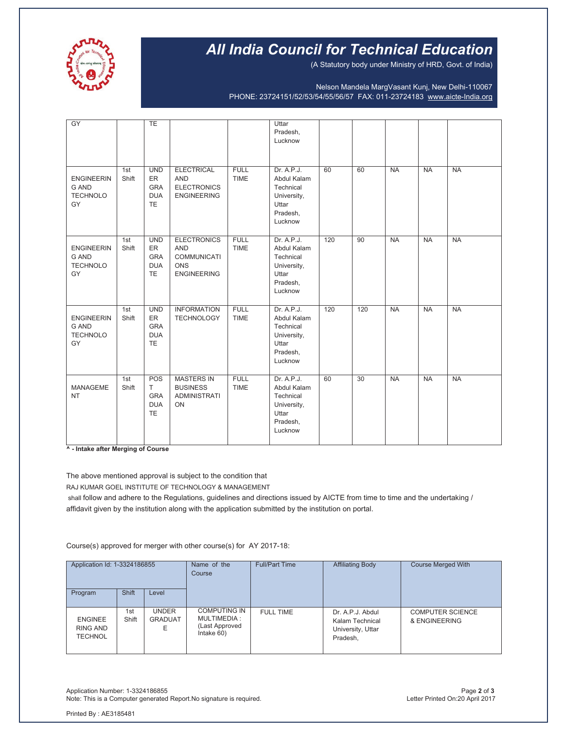

# *All India Council for Technical Education*

(A Statutory body under Ministry of HRD, Govt. of India)

Nelson Mandela MargVasant Kunj, New Delhi-110067 PHONE: 23724151/52/53/54/55/56/57 FAX: 011-23724183 www.aicte-India.org

| GY                                                         |              | <b>TE</b>                                                        |                                                                                     |                            | Uttar<br>Pradesh,<br>Lucknow                                                          |     |     |           |           |           |
|------------------------------------------------------------|--------------|------------------------------------------------------------------|-------------------------------------------------------------------------------------|----------------------------|---------------------------------------------------------------------------------------|-----|-----|-----------|-----------|-----------|
| <b>ENGINEERIN</b><br><b>G AND</b><br><b>TECHNOLO</b><br>GY | 1st<br>Shift | <b>UND</b><br><b>ER</b><br><b>GRA</b><br><b>DUA</b><br><b>TE</b> | <b>ELECTRICAL</b><br><b>AND</b><br><b>ELECTRONICS</b><br><b>ENGINEERING</b>         | <b>FULL</b><br><b>TIME</b> | Dr. A.P.J.<br>Abdul Kalam<br>Technical<br>University,<br>Uttar<br>Pradesh,<br>Lucknow | 60  | 60  | <b>NA</b> | <b>NA</b> | <b>NA</b> |
| <b>ENGINEERIN</b><br><b>G AND</b><br><b>TECHNOLO</b><br>GY | 1st<br>Shift | <b>UND</b><br><b>ER</b><br><b>GRA</b><br><b>DUA</b><br><b>TE</b> | <b>ELECTRONICS</b><br><b>AND</b><br><b>COMMUNICATI</b><br>ONS<br><b>ENGINEERING</b> | <b>FULL</b><br><b>TIME</b> | Dr. A.P.J.<br>Abdul Kalam<br>Technical<br>University,<br>Uttar<br>Pradesh,<br>Lucknow | 120 | 90  | <b>NA</b> | <b>NA</b> | <b>NA</b> |
| <b>ENGINEERIN</b><br><b>G AND</b><br><b>TECHNOLO</b><br>GY | 1st<br>Shift | <b>UND</b><br><b>ER</b><br><b>GRA</b><br><b>DUA</b><br><b>TE</b> | <b>INFORMATION</b><br><b>TECHNOLOGY</b>                                             | <b>FULL</b><br><b>TIME</b> | Dr. A.P.J.<br>Abdul Kalam<br>Technical<br>University,<br>Uttar<br>Pradesh,<br>Lucknow | 120 | 120 | <b>NA</b> | <b>NA</b> | <b>NA</b> |
| <b>MANAGEME</b><br><b>NT</b>                               | 1st<br>Shift | <b>POS</b><br>T.<br><b>GRA</b><br><b>DUA</b><br><b>TE</b>        | <b>MASTERS IN</b><br><b>BUSINESS</b><br><b>ADMINISTRATI</b><br>ON                   | <b>FULL</b><br><b>TIME</b> | Dr. A.P.J.<br>Abdul Kalam<br>Technical<br>University,<br>Uttar<br>Pradesh,<br>Lucknow | 60  | 30  | <b>NA</b> | <b>NA</b> | <b>NA</b> |

**^ - Intake after Merging of Course**

The above mentioned approval is subject to the condition that

RAJ KUMAR GOEL INSTITUTE OF TECHNOLOGY & MANAGEMENT

shall follow and adhere to the Regulations, guidelines and directions issued by AICTE from time to time and the undertaking / affidavit given by the institution along with the application submitted by the institution on portal.

Course(s) approved for merger with other course(s) for AY 2017-18:

| Application Id: 1-3324186855                 |              | Name of the<br>Course               | <b>Full/Part Time</b>                                              | <b>Affiliating Body</b> | <b>Course Merged With</b>                                            |                                          |
|----------------------------------------------|--------------|-------------------------------------|--------------------------------------------------------------------|-------------------------|----------------------------------------------------------------------|------------------------------------------|
| Program                                      | <b>Shift</b> | Level                               |                                                                    |                         |                                                                      |                                          |
| <b>ENGINEE</b><br>RING AND<br><b>TECHNOL</b> | 1st<br>Shift | <b>UNDER</b><br><b>GRADUAT</b><br>F | <b>COMPUTING IN</b><br>MULTIMEDIA:<br>(Last Approved<br>Intake 60) | <b>FULL TIME</b>        | Dr. A.P.J. Abdul<br>Kalam Technical<br>University, Uttar<br>Pradesh, | <b>COMPUTER SCIENCE</b><br>& ENGINEERING |

Application Number: 1-3324186855 Page **2** of **3** Note: This is a Computer generated Report.No signature is required.